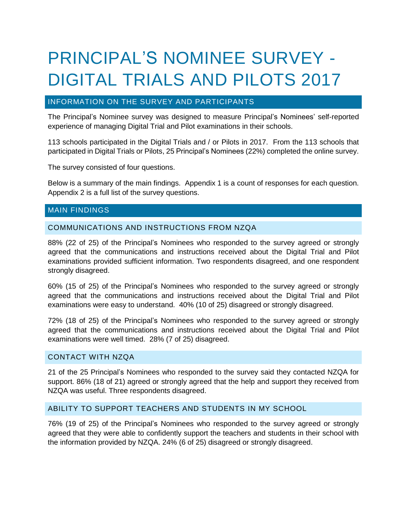# PRINCIPAL'S NOMINEE SURVEY - DIGITAL TRIALS AND PILOTS 2017

# INFORMATION ON THE SURVEY AND PARTICIPANTS

The Principal's Nominee survey was designed to measure Principal's Nominees' self-reported experience of managing Digital Trial and Pilot examinations in their schools.

113 schools participated in the Digital Trials and / or Pilots in 2017. From the 113 schools that participated in Digital Trials or Pilots, 25 Principal's Nominees (22%) completed the online survey.

The survey consisted of four questions.

Below is a summary of the main findings. Appendix 1 is a count of responses for each question. Appendix 2 is a full list of the survey questions.

## MAIN FINDINGS

## COMMUNICATIONS AND INSTRUCTIONS FROM NZQA

88% (22 of 25) of the Principal's Nominees who responded to the survey agreed or strongly agreed that the communications and instructions received about the Digital Trial and Pilot examinations provided sufficient information. Two respondents disagreed, and one respondent strongly disagreed.

60% (15 of 25) of the Principal's Nominees who responded to the survey agreed or strongly agreed that the communications and instructions received about the Digital Trial and Pilot examinations were easy to understand. 40% (10 of 25) disagreed or strongly disagreed.

72% (18 of 25) of the Principal's Nominees who responded to the survey agreed or strongly agreed that the communications and instructions received about the Digital Trial and Pilot examinations were well timed. 28% (7 of 25) disagreed.

#### CONTACT WITH NZQA

21 of the 25 Principal's Nominees who responded to the survey said they contacted NZQA for support. 86% (18 of 21) agreed or strongly agreed that the help and support they received from NZQA was useful. Three respondents disagreed.

## ABILITY TO SUPPORT TEACHERS AND STUDENTS IN MY SCHOOL

76% (19 of 25) of the Principal's Nominees who responded to the survey agreed or strongly agreed that they were able to confidently support the teachers and students in their school with the information provided by NZQA. 24% (6 of 25) disagreed or strongly disagreed.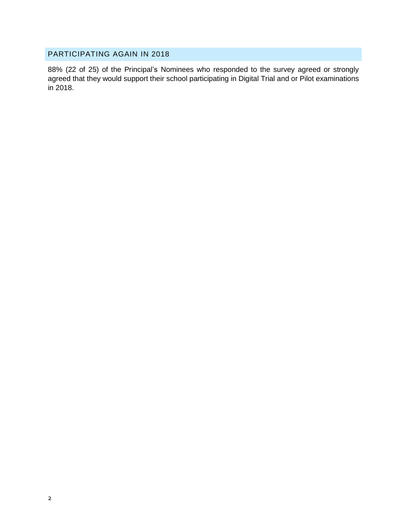# PARTICIPATING AGAIN IN 2018

88% (22 of 25) of the Principal's Nominees who responded to the survey agreed or strongly agreed that they would support their school participating in Digital Trial and or Pilot examinations in 2018.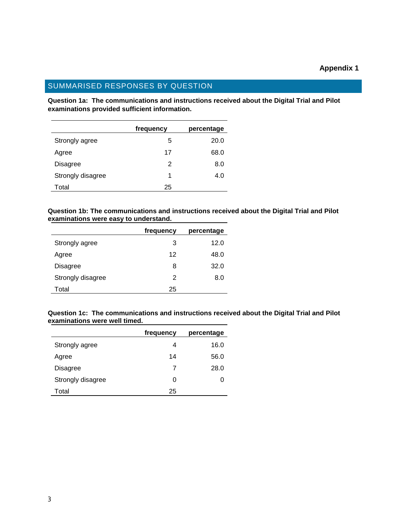# SUMMARISED RESPONSES BY QUESTION

**Question 1a: The communications and instructions received about the Digital Trial and Pilot examinations provided sufficient information.**

|                   | frequency | percentage |
|-------------------|-----------|------------|
| Strongly agree    | 5         | 20.0       |
| Agree             | 17        | 68.0       |
| Disagree          | 2         | 8.0        |
| Strongly disagree | 1         | 4.0        |
| Total             | 25        |            |

**Question 1b: The communications and instructions received about the Digital Trial and Pilot examinations were easy to understand.**

|                   | frequency | percentage |
|-------------------|-----------|------------|
| Strongly agree    | 3         | 12.0       |
| Agree             | 12        | 48.0       |
| <b>Disagree</b>   | 8         | 32.0       |
| Strongly disagree | 2         | 8.0        |
| Total             | 25        |            |

**Question 1c: The communications and instructions received about the Digital Trial and Pilot examinations were well timed.**

|                   | frequency | percentage |
|-------------------|-----------|------------|
| Strongly agree    | 4         | 16.0       |
| Agree             | 14        | 56.0       |
| Disagree          | 7         | 28.0       |
| Strongly disagree | 0         | 0          |
| Total             | 25        |            |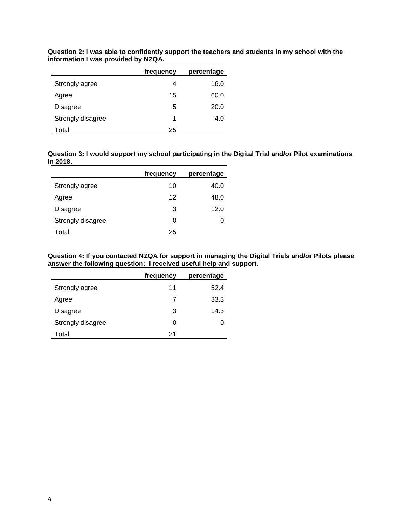|                   | frequency | percentage |
|-------------------|-----------|------------|
| Strongly agree    | 4         | 16.0       |
| Agree             | 15        | 60.0       |
| Disagree          | 5         | 20.0       |
| Strongly disagree | 1         | 4.0        |
| Total             | 25        |            |

**Question 2: I was able to confidently support the teachers and students in my school with the information I was provided by NZQA.**

| Question 3: I would support my school participating in the Digital Trial and/or Pilot examinations |  |
|----------------------------------------------------------------------------------------------------|--|
| in 2018.                                                                                           |  |

|                   | frequency | percentage |
|-------------------|-----------|------------|
| Strongly agree    | 10        | 40.0       |
| Agree             | 12        | 48.0       |
| Disagree          | 3         | 12.0       |
| Strongly disagree | O         |            |
| Total             | 25        |            |

**Question 4: If you contacted NZQA for support in managing the Digital Trials and/or Pilots please answer the following question: I received useful help and support.**

|                   | frequency | percentage |
|-------------------|-----------|------------|
| Strongly agree    | 11        | 52.4       |
| Agree             | 7         | 33.3       |
| <b>Disagree</b>   | 3         | 14.3       |
| Strongly disagree | 0         | 0          |
| Total             | 21        |            |